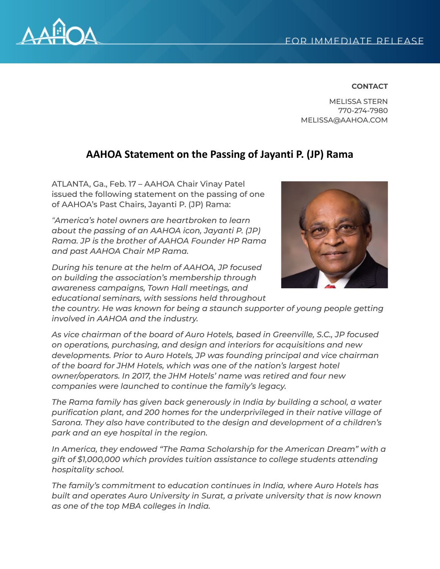

## **CONTACT**

MELISSA STERN 770-274-7980 MELISSA@AAHOA.COM

## **AAHOA Statement on the Passing of Jayanti P. (JP) Rama**

ATLANTA, Ga., Feb. 17 – AAHOA Chair Vinay Patel issued the following statement on the passing of one of AAHOA's Past Chairs, Jayanti P. (JP) Rama:

*"America's hotel owners are heartbroken to learn about the passing of an AAHOA icon, Jayanti P. (JP) Rama. JP is the brother of AAHOA Founder HP Rama and past AAHOA Chair MP Rama.*

*During his tenure at the helm of AAHOA, JP focused on building the association's membership through awareness campaigns, Town Hall meetings, and educational seminars, with sessions held throughout*



*the country. He was known for being a staunch supporter of young people getting involved in AAHOA and the industry.*

*As vice chairman of the board of Auro Hotels, based in Greenville, S.C., JP focused on operations, purchasing, and design and interiors for acquisitions and new developments. Prior to Auro Hotels, JP was founding principal and vice chairman of the board for JHM Hotels, which was one of the nation's largest hotel owner/operators. In 2017, the JHM Hotels' name was retired and four new companies were launched to continue the family's legacy.*

*The Rama family has given back generously in India by building a school, a water purification plant, and 200 homes for the underprivileged in their native village of Sarona. They also have contributed to the design and development of a children's park and an eye hospital in the region.*

*In America, they endowed "The Rama Scholarship for the American Dream" with a gift of \$1,000,000 which provides tuition assistance to college students attending hospitality school.*

*The family's commitment to education continues in India, where Auro Hotels has built and operates Auro University in Surat, a private university that is now known as one of the top MBA colleges in India.*